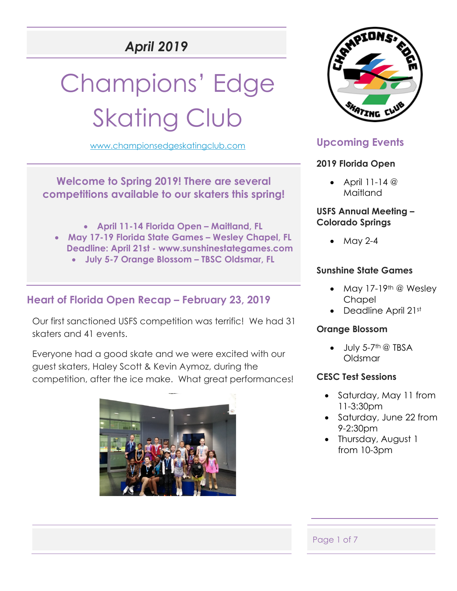# *April 2019*

# Champions' Edge **Skating Club**

[www.championsedgeskatingclub.com](http://www.championsedgeskatingclub.com/)



- **April 11-14 Florida Open – Maitland, FL**
- **May 17-19 Florida State Games – Wesley Chapel, FL Deadline: April 21st - www.sunshinestategames.com**
	- **July 5-7 Orange Blossom – TBSC Oldsmar, FL**

## **Heart of Florida Open Recap – February 23, 2019**

Our first sanctioned USFS competition was terrific! We had 31 skaters and 41 events.

Everyone had a good skate and we were excited with our guest skaters, Haley Scott & Kevin Aymoz, during the competition, after the ice make. What great performances!





## **Upcoming Events**

#### **2019 Florida Open**

• April  $11-14$  @ Maitland

#### **USFS Annual Meeting – Colorado Springs**

• May 2-4

#### **Sunshine State Games**

- May 17-19<sup>th</sup> @ Wesley **Chapel**
- Deadline April 21st

#### **Orange Blossom**

 $\bullet$  July 5-7<sup>th</sup> @ TBSA Oldsmar

#### **CESC Test Sessions**

- Saturday, May 11 from 11-3:30pm
- Saturday, June 22 from 9-2:30pm
- Thursday, August 1 from 10-3pm

#### Page 1 of 7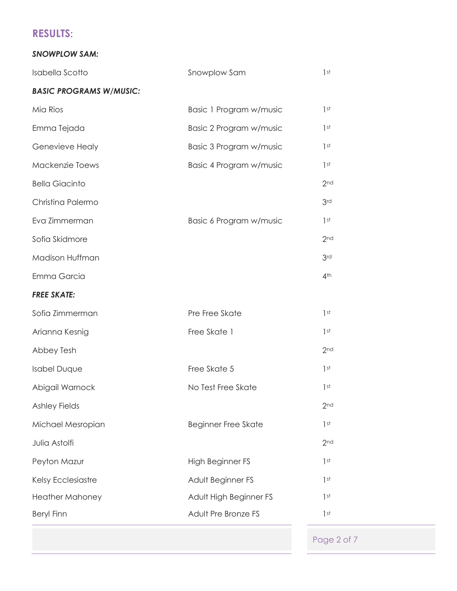## **RESULTS**:

#### *SNOWPLOW SAM:*

| Isabella Scotto                | Snowplow Sam               | 1 <sup>st</sup> |
|--------------------------------|----------------------------|-----------------|
| <b>BASIC PROGRAMS W/MUSIC:</b> |                            |                 |
| Mia Rios                       | Basic 1 Program w/music    | 1st             |
| Emma Tejada                    | Basic 2 Program w/music    | 1 <sup>st</sup> |
| Genevieve Healy                | Basic 3 Program w/music    | 1 <sup>st</sup> |
| Mackenzie Toews                | Basic 4 Program w/music    | 1 <sup>st</sup> |
| <b>Bella Giacinto</b>          |                            | 2 <sub>nd</sub> |
| Christina Palermo              |                            | 3 <sub>rd</sub> |
| Eva Zimmerman                  | Basic 6 Program w/music    | 1 <sup>st</sup> |
| Sofia Skidmore                 |                            | 2 <sub>nd</sub> |
| Madison Huffman                |                            | 3 <sub>rd</sub> |
| Emma Garcia                    |                            | 4 <sup>th</sup> |
| <b>FREE SKATE:</b>             |                            |                 |
| Sofia Zimmerman                | Pre Free Skate             | 1 <sup>st</sup> |
| Arianna Kesnig                 | Free Skate 1               | 1 <sup>st</sup> |
| Abbey Tesh                     |                            | 2 <sub>nd</sub> |
| <b>Isabel Duque</b>            | Free Skate 5               | 1 <sup>st</sup> |
| Abigail Warnock                | No Test Free Skate         | 1 <sup>st</sup> |
| <b>Ashley Fields</b>           |                            | 2 <sub>nd</sub> |
| Michael Mesropian              | <b>Beginner Free Skate</b> | 1 <sup>st</sup> |
| Julia Astolfi                  |                            | 2 <sub>nd</sub> |
| Peyton Mazur                   | High Beginner FS           | 1 <sup>st</sup> |
| Kelsy Ecclesiastre             | Adult Beginner FS          | 1 <sup>st</sup> |
| <b>Heather Mahoney</b>         | Adult High Beginner FS     | 1st             |
| <b>Beryl Finn</b>              | Adult Pre Bronze FS        | 1 <sup>st</sup> |

Page 2 of 7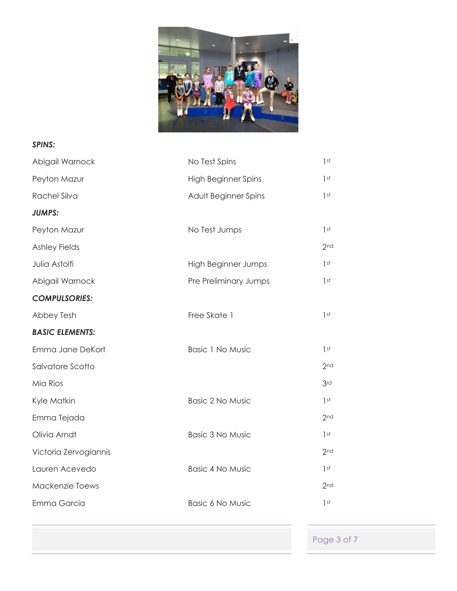

#### *SPINS:*

| Abigail Warnock        | No Test Spins              | 1 <sup>st</sup> |
|------------------------|----------------------------|-----------------|
| Peyton Mazur           | <b>High Beginner Spins</b> | 1st             |
| Rachel Silva           | Adult Beginner Spins       | 1 <sup>st</sup> |
| <b>JUMPS:</b>          |                            |                 |
| Peyton Mazur           | No Test Jumps              | 1 <sup>st</sup> |
| <b>Ashley Fields</b>   |                            | 2 <sub>nd</sub> |
| Julia Astolfi          | <b>High Beginner Jumps</b> | 1st             |
| Abigail Warnock        | Pre Preliminary Jumps      | 1 <sup>st</sup> |
| <b>COMPULSORIES:</b>   |                            |                 |
| Abbey Tesh             | Free Skate 1               | 1 <sup>st</sup> |
| <b>BASIC ELEMENTS:</b> |                            |                 |
| Emma Jane DeKort       | <b>Basic 1 No Music</b>    | 1 <sup>st</sup> |
| Salvatore Scotto       |                            | 2 <sub>nd</sub> |
| Mia Rios               |                            | 3rd             |
| Kyle Matkin            | <b>Basic 2 No Music</b>    | 1 <sup>st</sup> |
| Emma Tejada            |                            | 2 <sub>nd</sub> |
| Olivia Arndt           | <b>Basic 3 No Music</b>    | 1 <sup>st</sup> |
| Victoria Zervogiannis  |                            | 2 <sub>nd</sub> |
| Lauren Acevedo         | <b>Basic 4 No Music</b>    | 1 <sup>st</sup> |
| Mackenzie Toews        |                            | 2 <sub>nd</sub> |
| Emma Garcia            | <b>Basic 6 No Music</b>    | 1 <sup>st</sup> |
|                        |                            |                 |

Page 3 of 7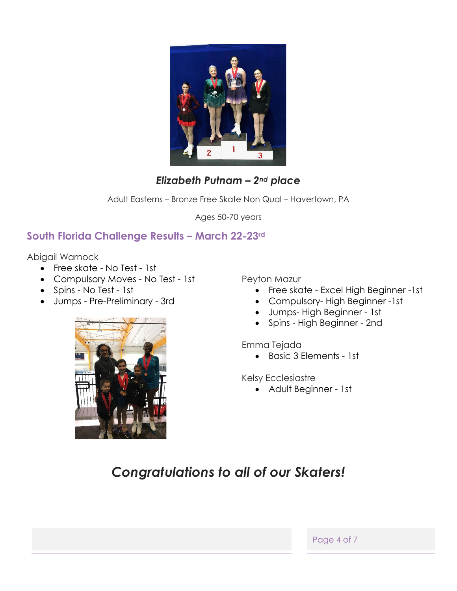

## *Elizabeth Putnam – 2nd place*

Adult Easterns – Bronze Free Skate Non Qual – Havertown, PA

Ages 50-70 years

## **South Florida Challenge Results – March 22-23rd**

Abigail Warnock

- Free skate No Test 1st
- Compulsory Moves No Test 1st
- Spins No Test 1st
- Jumps Pre-Preliminary 3rd



Peyton Mazur

- Free skate Excel High Beginner -1st
- Compulsory- High Beginner -1st
- Jumps- High Beginner 1st
- Spins High Beginner 2nd

Emma Tejada

• Basic 3 Elements - 1st

Kelsy Ecclesiastre

• Adult Beginner - 1st

## *Congratulations to all of our Skaters!*

Page 4 of 7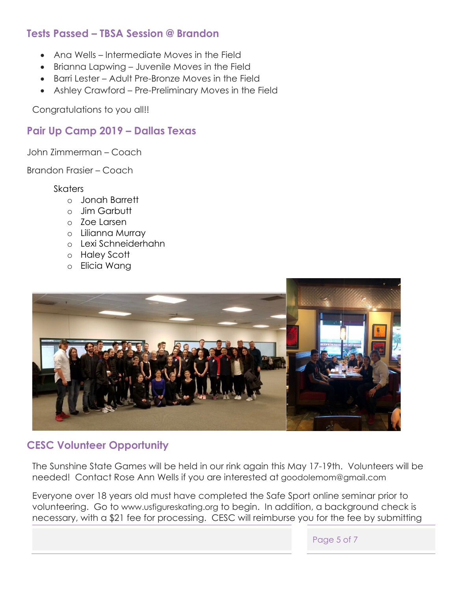## **Tests Passed – TBSA Session @ Brandon**

- Ana Wells Intermediate Moves in the Field
- Brianna Lapwing Juvenile Moves in the Field
- Barri Lester Adult Pre-Bronze Moves in the Field
- Ashley Crawford Pre-Preliminary Moves in the Field

Congratulations to you all!!

## **Pair Up Camp 2019 – Dallas Texas**

John Zimmerman – Coach

Brandon Frasier – Coach

#### **Skaters**

- o Jonah Barrett
- o Jim Garbutt
- o Zoe Larsen
- o Lilianna Murray
- o Lexi Schneiderhahn
- o Haley Scott
- o Elicia Wang



## **CESC Volunteer Opportunity**

The Sunshine State Games will be held in our rink again this May 17-19th. Volunteers will be needed! Contact Rose Ann Wells if you are interested at [goodolemom@gmail.com](mailto:goodolemom@gmail.com) 

Everyone over 18 years old must have completed the Safe Sport online seminar prior to volunteering. Go to [www.usfigureskating.org](http://www.usfigureskating.org/) to begin. In addition, a background check is necessary, with a \$21 fee for processing. CESC will reimburse you for the fee by submitting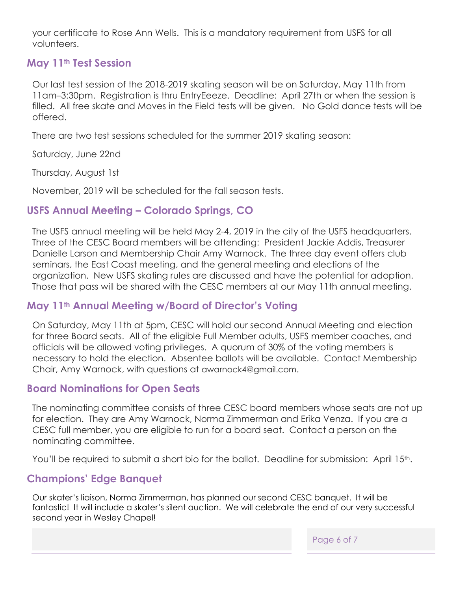your certificate to Rose Ann Wells. This is a mandatory requirement from USFS for all volunteers.

#### **May 11th Test Session**

Our last test session of the 2018-2019 skating season will be on Saturday, May 11th from 11am–3:30pm. Registration is thru EntryEeeze. Deadline: April 27th or when the session is filled. All free skate and Moves in the Field tests will be given. No Gold dance tests will be offered.

There are two test sessions scheduled for the summer 2019 skating season:

Saturday, June 22nd

Thursday, August 1st

November, 2019 will be scheduled for the fall season tests.

#### **USFS Annual Meeting – Colorado Springs, CO**

The USFS annual meeting will be held May 2-4, 2019 in the city of the USFS headquarters. Three of the CESC Board members will be attending: President Jackie Addis, Treasurer Danielle Larson and Membership Chair Amy Warnock. The three day event offers club seminars, the East Coast meeting, and the general meeting and elections of the organization. New USFS skating rules are discussed and have the potential for adoption. Those that pass will be shared with the CESC members at our May 11th annual meeting.

#### **May 11th Annual Meeting w/Board of Director's Voting**

On Saturday, May 11th at 5pm, CESC will hold our second Annual Meeting and election for three Board seats. All of the eligible Full Member adults, USFS member coaches, and officials will be allowed voting privileges. A quorum of 30% of the voting members is necessary to hold the election. Absentee ballots will be available. Contact Membership Chair, Amy Warnock, with questions at [awarnock4@gmail.com.](mailto:awarnock4@gmail.com)

#### **Board Nominations for Open Seats**

The nominating committee consists of three CESC board members whose seats are not up for election. They are Amy Warnock, Norma Zimmerman and Erika Venza. If you are a CESC full member, you are eligible to run for a board seat. Contact a person on the nominating committee.

You'll be required to submit a short bio for the ballot. Deadline for submission: April 15<sup>th</sup>.

#### **Champions' Edge Banquet**

Our skater's liaison, Norma Zimmerman, has planned our second CESC banquet. It will be fantastic! It will include a skater's silent auction. We will celebrate the end of our very successful second year in Wesley Chapel!

Page 6 of 7